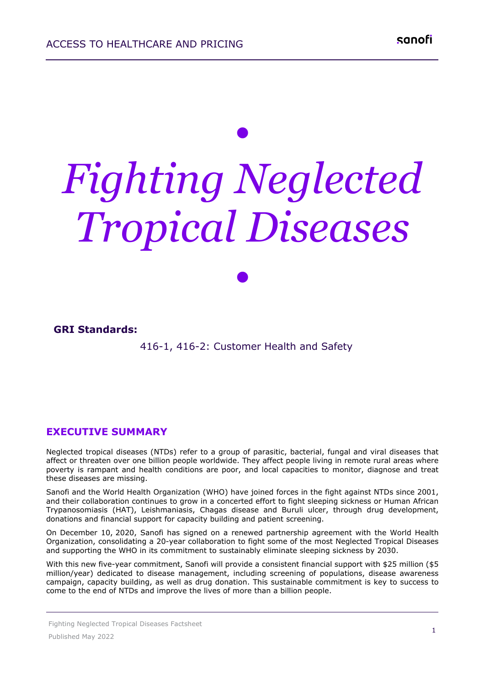# *• Fighting Neglected Tropical Diseases*

*•*

#### **GRI Standards:**

416-1, 416-2: Customer Health and Safety 

#### **EXECUTIVE SUMMARY**

Neglected tropical diseases (NTDs) refer to a group of parasitic, bacterial, fungal and viral diseases that affect or threaten over one billion people worldwide. They affect people living in remote rural areas where poverty is rampant and health conditions are poor, and local capacities to monitor, diagnose and treat these diseases are missing.

Sanofi and the World Health Organization (WHO) have joined forces in the fight against NTDs since 2001, and their collaboration continues to grow in a concerted effort to fight sleeping sickness or Human African Trypanosomiasis (HAT), Leishmaniasis, Chagas disease and Buruli ulcer, through drug development, donations and financial support for capacity building and patient screening.

On December 10, 2020, Sanofi has signed on a renewed partnership agreement with the World Health Organization, consolidating a 20-year collaboration to fight some of the most Neglected Tropical Diseases and supporting the WHO in its commitment to sustainably eliminate sleeping sickness by 2030.

With this new five-year commitment, Sanofi will provide a consistent financial support with \$25 million (\$5 million/year) dedicated to disease management, including screening of populations, disease awareness campaign, capacity building, as well as drug donation. This sustainable commitment is key to success to come to the end of NTDs and improve the lives of more than a billion people.

Fighting Neglected Tropical Diseases Factsheet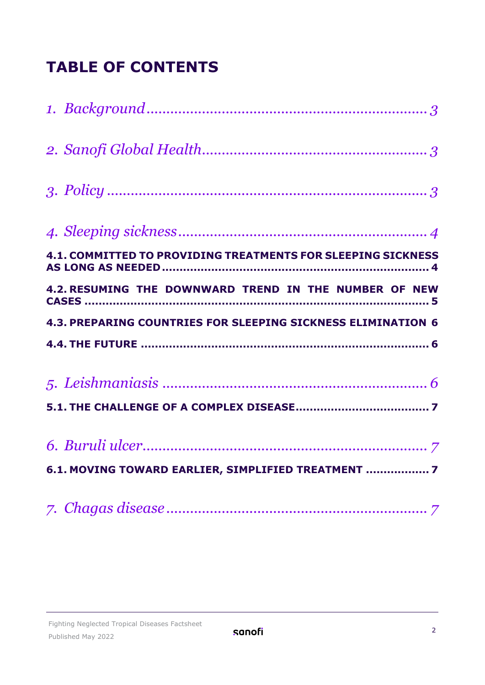## **TABLE OF CONTENTS**

| 4.1. COMMITTED TO PROVIDING TREATMENTS FOR SLEEPING SICKNESS |
|--------------------------------------------------------------|
| 4.2. RESUMING THE DOWNWARD TREND IN THE NUMBER OF NEW        |
| 4.3. PREPARING COUNTRIES FOR SLEEPING SICKNESS ELIMINATION 6 |
|                                                              |
|                                                              |
|                                                              |
|                                                              |
| 6.1. MOVING TOWARD EARLIER, SIMPLIFIED TREATMENT  7          |
|                                                              |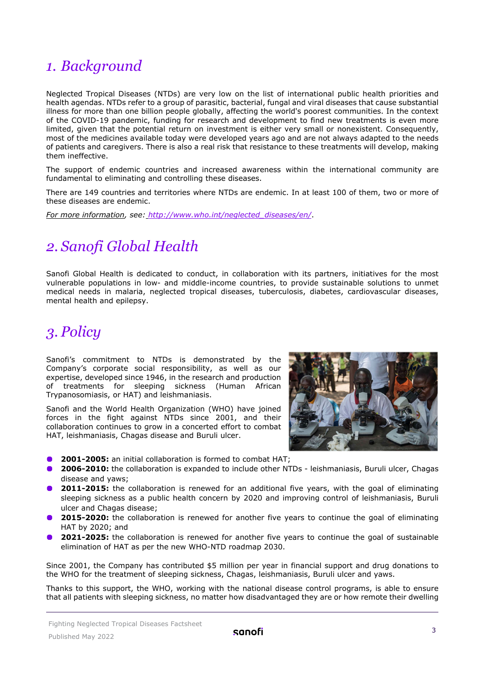### <span id="page-2-0"></span>*1. Background*

Neglected Tropical Diseases (NTDs) are very low on the list of international public health priorities and health agendas. NTDs refer to a group of parasitic, bacterial, fungal and viral diseases that cause substantial illness for more than one billion people globally, affecting the world's poorest communities. In the context of the COVID-19 pandemic, funding for research and development to find new treatments is even more limited, given that the potential return on investment is either very small or nonexistent. Consequently, most of the medicines available today were developed years ago and are not always adapted to the needs of patients and caregivers. There is also a real risk that resistance to these treatments will develop, making them ineffective.

The support of endemic countries and increased awareness within the international community are fundamental to eliminating and controlling these diseases.

There are 149 countries and territories where NTDs are endemic. In at least 100 of them, two or more of these diseases are endemic.

*For more information, see: [http://www.who.int/neglected\\_diseases/en/](http://www.who.int/neglected_diseases/en/)*.

## <span id="page-2-1"></span>*2. Sanofi Global Health*

Sanofi Global Health is dedicated to conduct, in collaboration with its partners, initiatives for the most vulnerable populations in low- and middle-income countries, to provide sustainable solutions to unmet medical needs in malaria, neglected tropical diseases, tuberculosis, diabetes, cardiovascular diseases, mental health and epilepsy.

## <span id="page-2-2"></span>*3. Policy*

Sanofi's commitment to NTDs is demonstrated by the Company's corporate social responsibility, as well as our expertise, developed since 1946, in the research and production of treatments for sleeping sickness (Human African Trypanosomiasis, or HAT) and leishmaniasis.

Sanofi and the World Health Organization (WHO) have joined forces in the fight against NTDs since 2001, and their collaboration continues to grow in a concerted effort to combat HAT, leishmaniasis, Chagas disease and Buruli ulcer.



- **2001-2005:** an initial collaboration is formed to combat HAT;
- **2006-2010:** the collaboration is expanded to include other NTDs leishmaniasis, Buruli ulcer, Chagas disease and yaws;
- **2011-2015:** the collaboration is renewed for an additional five years, with the goal of eliminating sleeping sickness as a public health concern by 2020 and improving control of leishmaniasis, Buruli ulcer and Chagas disease;
- **2015-2020:** the collaboration is renewed for another five years to continue the goal of eliminating HAT by 2020; and
- **2021-2025:** the collaboration is renewed for another five years to continue the goal of sustainable elimination of HAT as per the new WHO-NTD roadmap 2030.

Since 2001, the Company has contributed \$5 million per year in financial support and drug donations to the WHO for the treatment of sleeping sickness, Chagas, leishmaniasis, Buruli ulcer and yaws.

Thanks to this support, the WHO, working with the national disease control programs, is able to ensure that all patients with sleeping sickness, no matter how disadvantaged they are or how remote their dwelling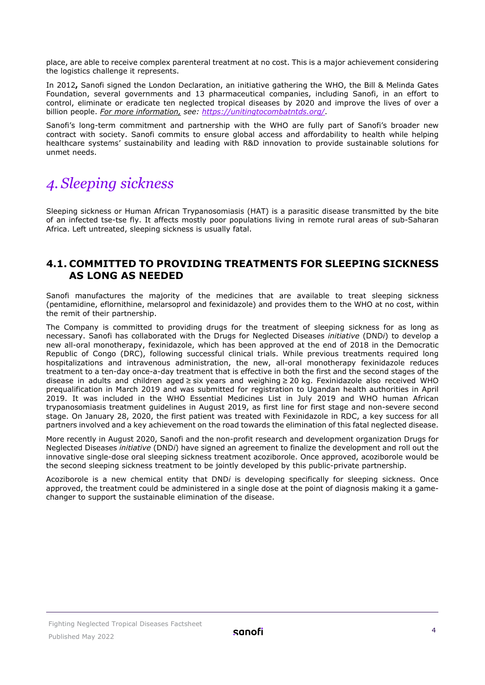place, are able to receive complex parenteral treatment at no cost. This is a major achievement considering the logistics challenge it represents.

In 2012**,** Sanofi signed the London Declaration, an initiative gathering the WHO, the Bill & Melinda Gates Foundation, several governments and 13 pharmaceutical companies, including Sanofi, in an effort to control, eliminate or eradicate ten neglected tropical diseases by 2020 and improve the lives of over a billion people. *For more information, see:<https://unitingtocombatntds.org/>*.

Sanofi's long-term commitment and partnership with the WHO are fully part of Sanofi's broader new contract with society. Sanofi commits to ensure global access and affordability to health while helping healthcare systems' sustainability and leading with R&D innovation to provide sustainable solutions for unmet needs.

## <span id="page-3-0"></span>*4. Sleeping sickness*

Sleeping sickness or Human African Trypanosomiasis (HAT) is a parasitic disease transmitted by the bite of an infected tse-tse fly. It affects mostly poor populations living in remote rural areas of sub-Saharan Africa. Left untreated, sleeping sickness is usually fatal.

#### <span id="page-3-1"></span>**4.1. COMMITTED TO PROVIDING TREATMENTS FOR SLEEPING SICKNESS AS LONG AS NEEDED**

Sanofi manufactures the majority of the medicines that are available to treat sleeping sickness (pentamidine, eflornithine, melarsoprol and fexinidazole) and provides them to the WHO at no cost, within the remit of their partnership.

The Company is committed to providing drugs for the treatment of sleeping sickness for as long as necessary. Sanofi has collaborated with the Drugs for Neglected Diseases *initiative* (DND*i*) to develop a new all-oral monotherapy, fexinidazole, which has been approved at the end of 2018 in the Democratic Republic of Congo (DRC), following successful clinical trials. While previous treatments required long hospitalizations and intravenous administration, the new, all-oral monotherapy fexinidazole reduces treatment to a ten-day once-a-day treatment that is effective in both the first and the second stages of the disease in adults and children aged ≥ six years and weighing ≥ 20 kg. Fexinidazole also received WHO prequalification in March 2019 and was submitted for registration to Ugandan health authorities in April 2019. It was included in the WHO Essential Medicines List in July 2019 and WHO human African trypanosomiasis treatment guidelines in August 2019, as first line for first stage and non-severe second stage. On January 28, 2020, the first patient was treated with Fexinidazole in RDC, a key success for all partners involved and a key achievement on the road towards the elimination of this fatal neglected disease.

More recently in August 2020, Sanofi and the non-profit research and development organization Drugs for Neglected Diseases *initiative* (DND*i*) have signed an agreement to finalize the development and roll out the innovative single-dose oral sleeping sickness treatment acoziborole. Once approved, acoziborole would be the second sleeping sickness treatment to be jointly developed by this public-private partnership.

Acoziborole is a new chemical entity that DND*i* is developing specifically for sleeping sickness. Once approved, the treatment could be administered in a single dose at the point of diagnosis making it a gamechanger to support the sustainable elimination of the disease.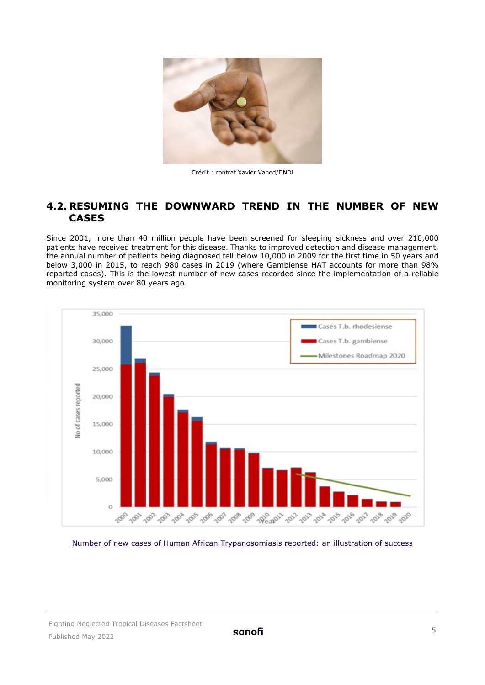

Crédit : contrat Xavier Vahed/DNDi

#### <span id="page-4-0"></span>**4.2. RESUMING THE DOWNWARD TREND IN THE NUMBER OF NEW CASES**

Since 2001, more than 40 million people have been screened for sleeping sickness and over 210,000 patients have received treatment for this disease. Thanks to improved detection and disease management, the annual number of patients being diagnosed fell below 10,000 in 2009 for the first time in 50 years and below 3,000 in 2015, to reach 980 cases in 2019 (where Gambiense HAT accounts for more than 98% reported cases). This is the lowest number of new cases recorded since the implementation of a reliable monitoring system over 80 years ago.



Number of new cases of Human African Trypanosomiasis reported: an illustration of success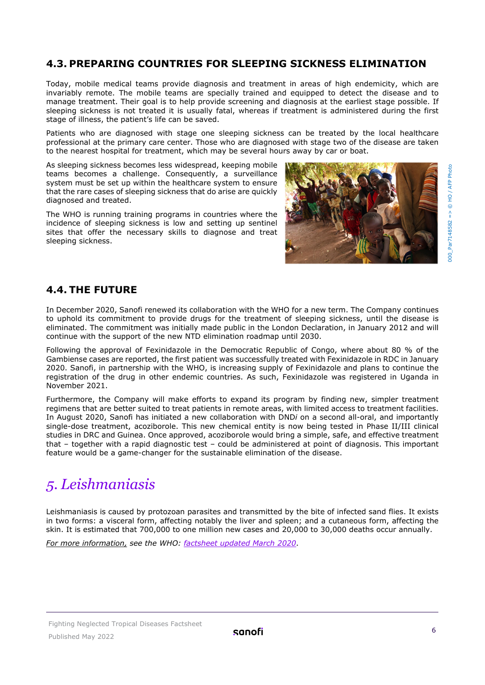#### <span id="page-5-0"></span>**4.3. PREPARING COUNTRIES FOR SLEEPING SICKNESS ELIMINATION**

Today, mobile medical teams provide diagnosis and treatment in areas of high endemicity, which are invariably remote. The mobile teams are specially trained and equipped to detect the disease and to manage treatment. Their goal is to help provide screening and diagnosis at the earliest stage possible. If sleeping sickness is not treated it is usually fatal, whereas if treatment is administered during the first stage of illness, the patient's life can be saved.

Patients who are diagnosed with stage one sleeping sickness can be treated by the local healthcare professional at the primary care center. Those who are diagnosed with stage two of the disease are taken to the nearest hospital for treatment, which may be several hours away by car or boat.

As sleeping sickness becomes less widespread, keeping mobile teams becomes a challenge. Consequently, a surveillance system must be set up within the healthcare system to ensure that the rare cases of sleeping sickness that do arise are quickly diagnosed and treated.

The WHO is running training programs in countries where the incidence of sleeping sickness is low and setting up sentinel sites that offer the necessary skills to diagnose and treat sleeping sickness.



#### <span id="page-5-1"></span>**4.4. THE FUTURE**

In December 2020, Sanofi renewed its collaboration with the WHO for a new term. The Company continues to uphold its commitment to provide drugs for the treatment of sleeping sickness, until the disease is eliminated. The commitment was initially made public in the London Declaration, in January 2012 and will continue with the support of the new NTD elimination roadmap until 2030.

Following the approval of Fexinidazole in the Democratic Republic of Congo, where about 80 % of the Gambiense cases are reported, the first patient was successfully treated with Fexinidazole in RDC in January 2020. Sanofi, in partnership with the WHO, is increasing supply of Fexinidazole and plans to continue the registration of the drug in other endemic countries. As such, Fexinidazole was registered in Uganda in November 2021.

Furthermore, the Company will make efforts to expand its program by finding new, simpler treatment regimens that are better suited to treat patients in remote areas, with limited access to treatment facilities. In August 2020, Sanofi has initiated a new collaboration with DND*i* on a second all-oral, and importantly single-dose treatment, acoziborole. This new chemical entity is now being tested in Phase II/III clinical studies in DRC and Guinea. Once approved, acoziborole would bring a simple, safe, and effective treatment that – together with a rapid diagnostic test – could be administered at point of diagnosis. This important feature would be a game-changer for the sustainable elimination of the disease.

## <span id="page-5-2"></span>*5. Leishmaniasis*

Leishmaniasis is caused by protozoan parasites and transmitted by the bite of infected sand flies. It exists in two forms: a visceral form, affecting notably the liver and spleen; and a cutaneous form, affecting the skin. It is estimated that 700,000 to one million new cases and 20,000 to 30,000 deaths occur annually.

*For more information, see the WHO: factsheet [updated March 2020](https://www.who.int/news-room/fact-sheets/detail/leishmaniasis)*.